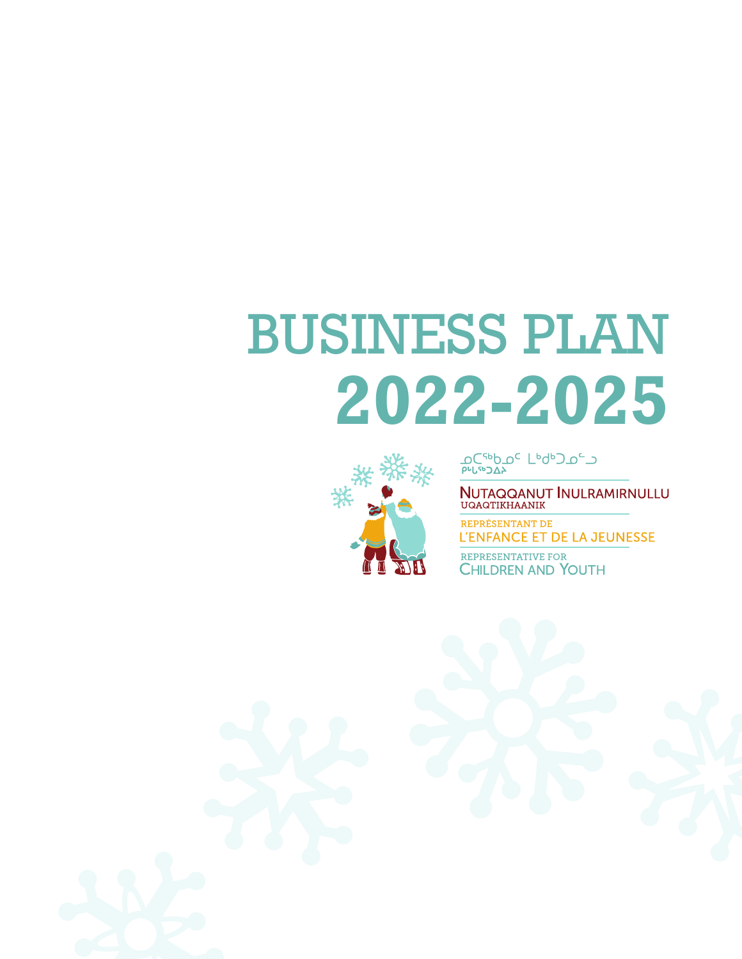# BUSINESS PLAN **2022-2025**



**DC<sub>dP</sub>DC** LPqpJDCJ

NUTAQQANUT INULRAMIRNULLU<br>UQAQTIKHAANIK

REPRÉSENTANT DE L'ENFANCE ET DE LA JEUNESSE

REPRESENTATIVE FOR CHILDREN AND YOUTH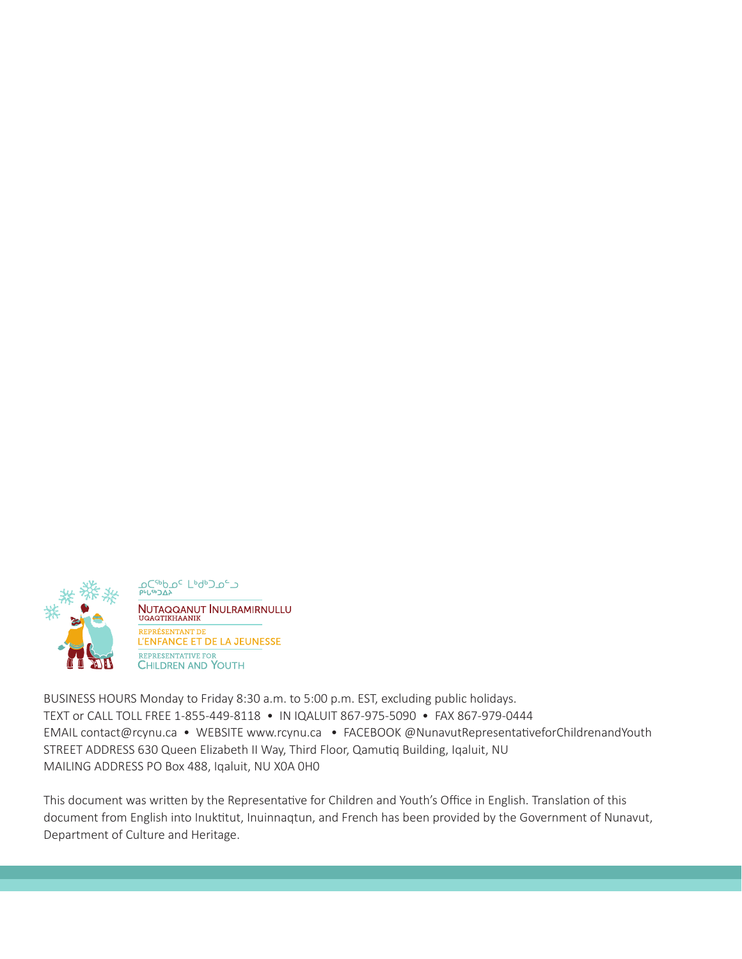

ᢧᢕ<sup>ᡕ</sup>ᡑ᠑᠘ᢣ<br>᠉ᡃᡁᡑ᠑᠘ᢣ **NUTAQQANUT INULRAMIRNULLU**<br>UQAQTIKHAANIK REPRÉSENTANT DE L'ENFANCE ET DE LA JEUNESSE REPRESENTATIVE FOR **CHILDREN AND YOUTH** 

BUSINESS HOURS Monday to Friday 8:30 a.m. to 5:00 p.m. EST, excluding public holidays. TEXT or CALL TOLL FREE 1-855-449-8118 • IN IQALUIT 867-975-5090 • FAX 867-979-0444 EMAIL contact@rcynu.ca • WEBSITE www.rcynu.ca • FACEBOOK @NunavutRepresentativeforChildrenandYouth STREET ADDRESS 630 Queen Elizabeth II Way, Third Floor, Qamutiq Building, Iqaluit, NU MAILING ADDRESS PO Box 488, Iqaluit, NU X0A 0H0

This document was written by the Representative for Children and Youth's Office in English. Translation of this document from English into Inuktitut, Inuinnaqtun, and French has been provided by the Government of Nunavut, Department of Culture and Heritage.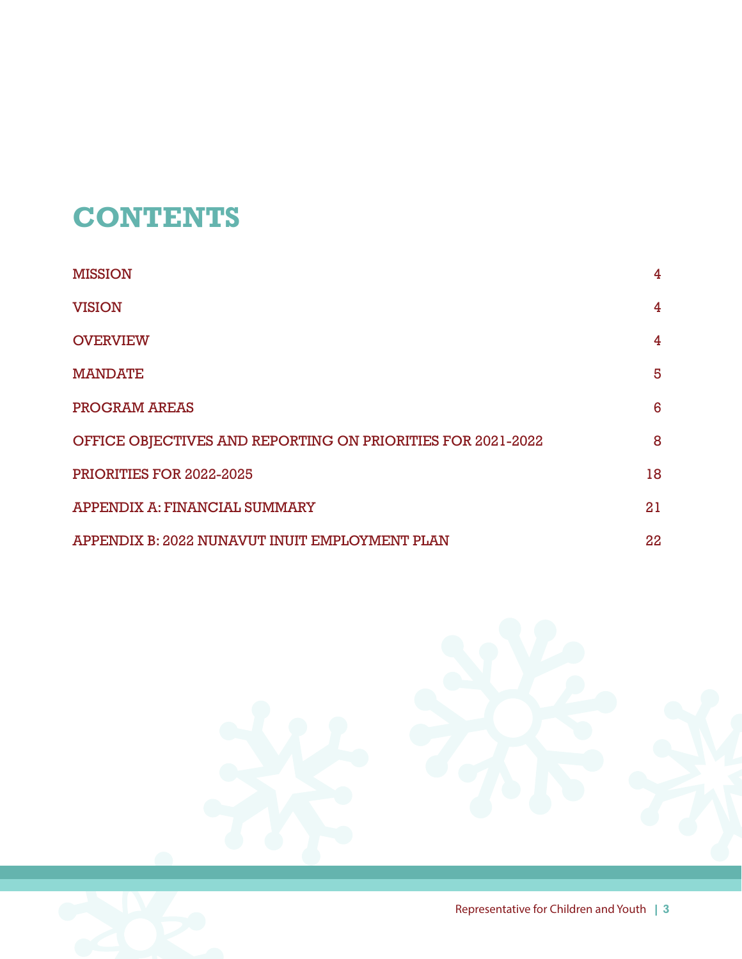## **CONTENTS**

| <b>MISSION</b>                                              | 4              |
|-------------------------------------------------------------|----------------|
| <b>VISION</b>                                               | 4              |
| <b>OVERVIEW</b>                                             | $\overline{4}$ |
| <b>MANDATE</b>                                              | 5              |
| PROGRAM AREAS                                               | 6              |
| OFFICE OBJECTIVES AND REPORTING ON PRIORITIES FOR 2021-2022 | 8              |
| PRIORITIES FOR 2022-2025                                    | 18             |
| APPENDIX A: FINANCIAL SUMMARY                               | 21             |
| APPENDIX B: 2022 NUNAVUT INUIT EMPLOYMENT PLAN              | 22             |

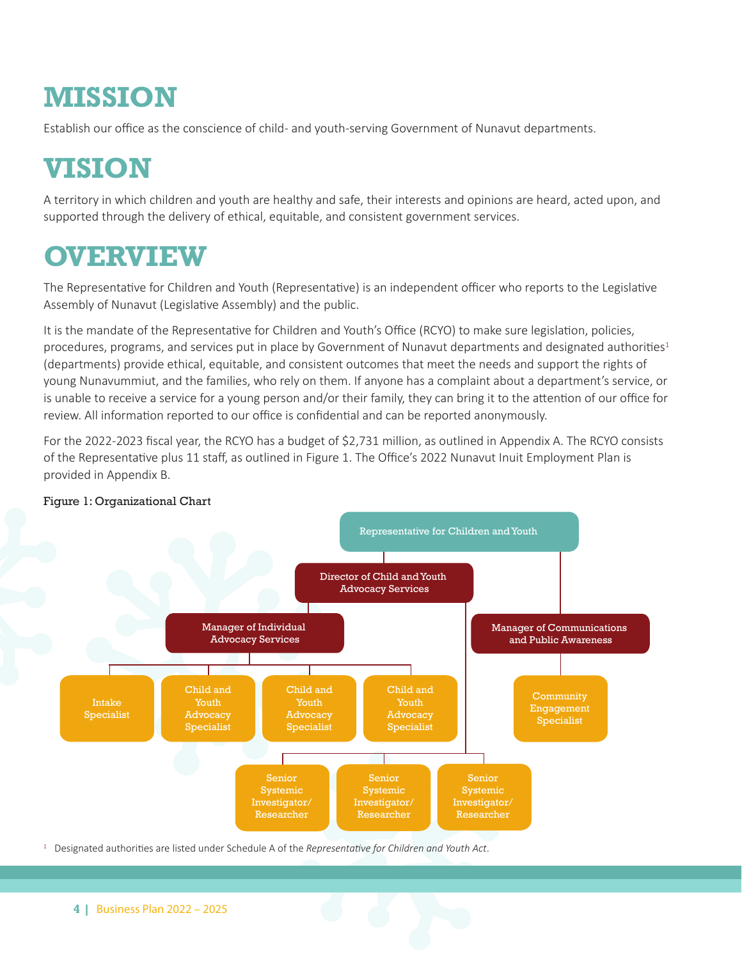### **MISSION**

Establish our office as the conscience of child- and youth-serving Government of Nunavut departments.

### **VISION**

A territory in which children and youth are healthy and safe, their interests and opinions are heard, acted upon, and supported through the delivery of ethical, equitable, and consistent government services.

### **OVERVIEW**

The Representative for Children and Youth (Representative) is an independent officer who reports to the Legislative Assembly of Nunavut (Legislative Assembly) and the public.

It is the mandate of the Representative for Children and Youth's Office (RCYO) to make sure legislation, policies, procedures, programs, and services put in place by Government of Nunavut departments and designated authorities<sup>1</sup> (departments) provide ethical, equitable, and consistent outcomes that meet the needs and support the rights of young Nunavummiut, and the families, who rely on them. If anyone has a complaint about a department's service, or is unable to receive a service for a young person and/or their family, they can bring it to the attention of our office for review. All information reported to our office is confidential and can be reported anonymously.

For the 2022-2023 fiscal year, the RCYO has a budget of \$2,731 million, as outlined in Appendix A. The RCYO consists of the Representative plus 11 staff, as outlined in Figure 1. The Office's 2022 Nunavut Inuit Employment Plan is provided in Appendix B.



#### Figure 1: Organizational Chart

<sup>1</sup> Designated authorities are listed under Schedule A of the *Representative for Children and Youth Act*.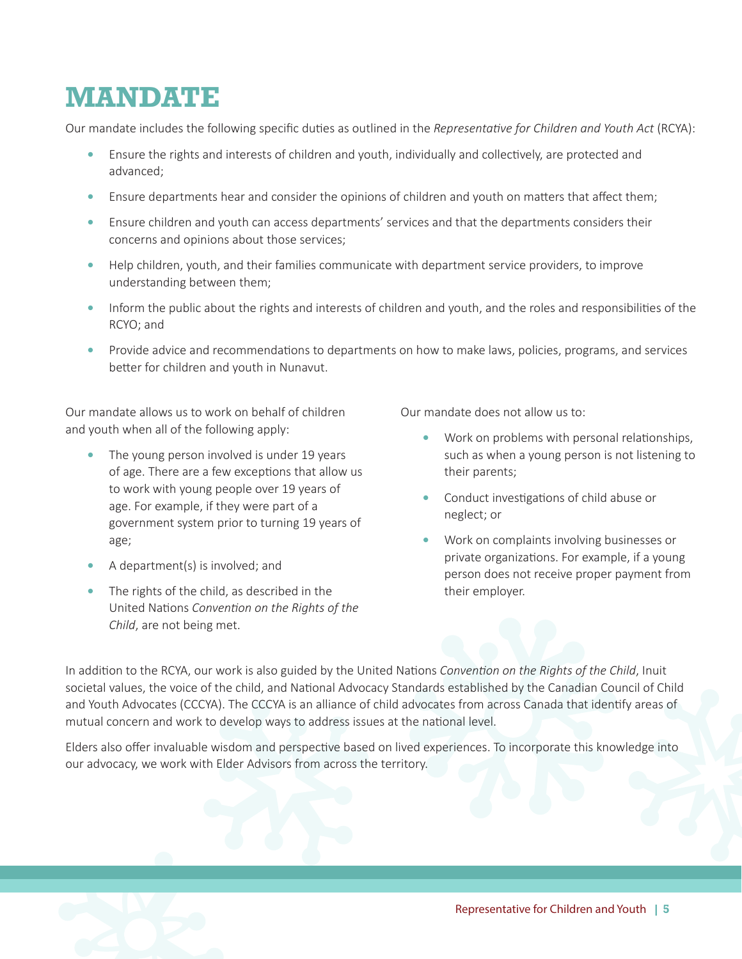### **MANDATE**

Our mandate includes the following specific duties as outlined in the *Representative for Children and Youth Act* (RCYA):

- Ensure the rights and interests of children and youth, individually and collectively, are protected and advanced;
- **•** Ensure departments hear and consider the opinions of children and youth on matters that affect them;
- Ensure children and youth can access departments' services and that the departments considers their concerns and opinions about those services;
- **•** Help children, youth, and their families communicate with department service providers, to improve understanding between them;
- **•** Inform the public about the rights and interests of children and youth, and the roles and responsibilities of the RCYO; and
- Provide advice and recommendations to departments on how to make laws, policies, programs, and services better for children and youth in Nunavut.

Our mandate allows us to work on behalf of children and youth when all of the following apply:

- The young person involved is under 19 years of age. There are a few exceptions that allow us to work with young people over 19 years of age. For example, if they were part of a government system prior to turning 19 years of age;
- **•** A department(s) is involved; and
- **•** The rights of the child, as described in the United Nations *Convention on the Rights of the Child*, are not being met.

Our mandate does not allow us to:

- **•** Work on problems with personal relationships, such as when a young person is not listening to their parents;
- **•** Conduct investigations of child abuse or neglect; or
- **•** Work on complaints involving businesses or private organizations. For example, if a young person does not receive proper payment from their employer.

In addition to the RCYA, our work is also guided by the United Nations *Convention on the Rights of the Child*, Inuit societal values, the voice of the child, and National Advocacy Standards established by the Canadian Council of Child and Youth Advocates (CCCYA). The CCCYA is an alliance of child advocates from across Canada that identify areas of mutual concern and work to develop ways to address issues at the national level.

Elders also offer invaluable wisdom and perspective based on lived experiences. To incorporate this knowledge into our advocacy, we work with Elder Advisors from across the territory.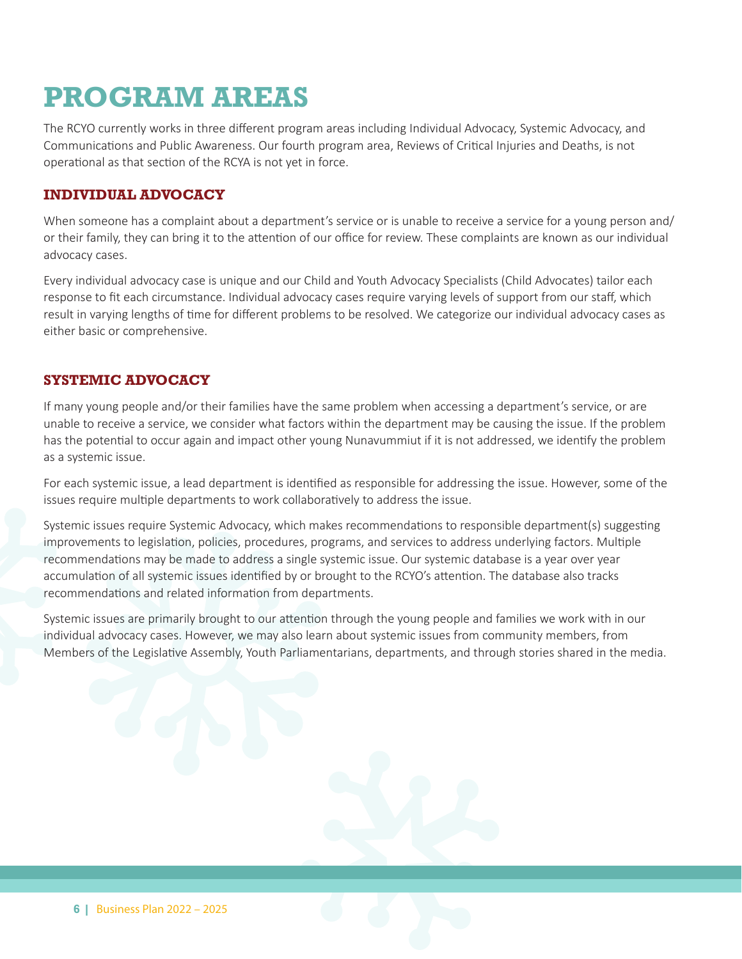### **PROGRAM AREAS**

The RCYO currently works in three different program areas including Individual Advocacy, Systemic Advocacy, and Communications and Public Awareness. Our fourth program area, Reviews of Critical Injuries and Deaths, is not operational as that section of the RCYA is not yet in force.

#### **INDIVIDUAL ADVOCACY**

When someone has a complaint about a department's service or is unable to receive a service for a young person and/ or their family, they can bring it to the attention of our office for review. These complaints are known as our individual advocacy cases.

Every individual advocacy case is unique and our Child and Youth Advocacy Specialists (Child Advocates) tailor each response to fit each circumstance. Individual advocacy cases require varying levels of support from our staff, which result in varying lengths of time for different problems to be resolved. We categorize our individual advocacy cases as either basic or comprehensive.

#### **SYSTEMIC ADVOCACY**

If many young people and/or their families have the same problem when accessing a department's service, or are unable to receive a service, we consider what factors within the department may be causing the issue. If the problem has the potential to occur again and impact other young Nunavummiut if it is not addressed, we identify the problem as a systemic issue.

For each systemic issue, a lead department is identified as responsible for addressing the issue. However, some of the issues require multiple departments to work collaboratively to address the issue.

Systemic issues require Systemic Advocacy, which makes recommendations to responsible department(s) suggesting improvements to legislation, policies, procedures, programs, and services to address underlying factors. Multiple recommendations may be made to address a single systemic issue. Our systemic database is a year over year accumulation of all systemic issues identified by or brought to the RCYO's attention. The database also tracks recommendations and related information from departments.

Systemic issues are primarily brought to our attention through the young people and families we work with in our individual advocacy cases. However, we may also learn about systemic issues from community members, from Members of the Legislative Assembly, Youth Parliamentarians, departments, and through stories shared in the media.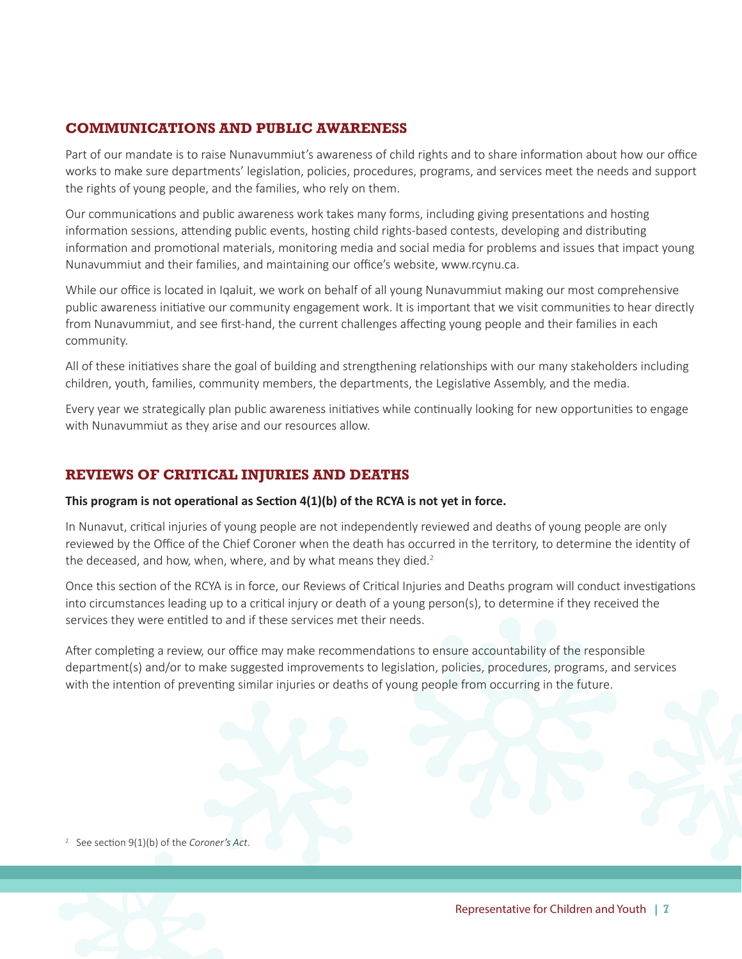#### **COMMUNICATIONS AND PUBLIC AWARENESS**

Part of our mandate is to raise Nunavummiut's awareness of child rights and to share information about how our office works to make sure departments' legislation, policies, procedures, programs, and services meet the needs and support the rights of young people, and the families, who rely on them.

Our communications and public awareness work takes many forms, including giving presentations and hosting information sessions, attending public events, hosting child rights-based contests, developing and distributing information and promotional materials, monitoring media and social media for problems and issues that impact young Nunavummiut and their families, and maintaining our office's website, www.rcynu.ca.

While our office is located in Iqaluit, we work on behalf of all young Nunavummiut making our most comprehensive public awareness initiative our community engagement work. It is important that we visit communities to hear directly from Nunavummiut, and see first-hand, the current challenges affecting young people and their families in each community.

All of these initiatives share the goal of building and strengthening relationships with our many stakeholders including children, youth, families, community members, the departments, the Legislative Assembly, and the media.

Every year we strategically plan public awareness initiatives while continually looking for new opportunities to engage with Nunavummiut as they arise and our resources allow.

#### **REVIEWS OF CRITICAL INJURIES AND DEATHS**

#### **This program is not operational as Section 4(1)(b) of the RCYA is not yet in force.**

In Nunavut, critical injuries of young people are not independently reviewed and deaths of young people are only reviewed by the Office of the Chief Coroner when the death has occurred in the territory, to determine the identity of the deceased, and how, when, where, and by what means they died.<sup>2</sup>

Once this section of the RCYA is in force, our Reviews of Critical Injuries and Deaths program will conduct investigations into circumstances leading up to a critical injury or death of a young person(s), to determine if they received the services they were entitled to and if these services met their needs.

After completing a review, our office may make recommendations to ensure accountability of the responsible department(s) and/or to make suggested improvements to legislation, policies, procedures, programs, and services with the intention of preventing similar injuries or deaths of young people from occurring in the future.

<sup>2</sup> See section 9(1)(b) of the *Coroner's Act*.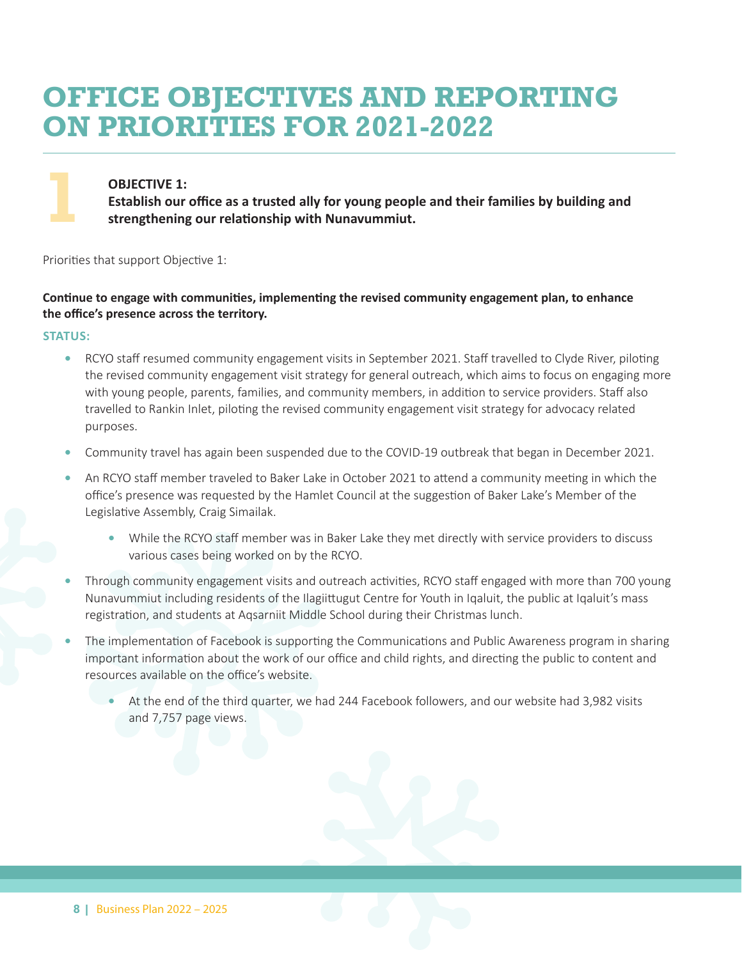### **OFFICE OBJECTIVES AND REPORTING ON PRIORITIES FOR 2021-2022**

#### **OBJECTIVE 1:**

**Establish our office as a trusted ally for young people and their families by building and strengthening our relationship with Nunavummiut.**

Priorities that support Objective 1:

#### **Continue to engage with communities, implementing the revised community engagement plan, to enhance the office's presence across the territory.**

#### **STATUS:**

**1**

- **•** RCYO staff resumed community engagement visits in September 2021. Staff travelled to Clyde River, piloting the revised community engagement visit strategy for general outreach, which aims to focus on engaging more with young people, parents, families, and community members, in addition to service providers. Staff also travelled to Rankin Inlet, piloting the revised community engagement visit strategy for advocacy related purposes.
- **•** Community travel has again been suspended due to the COVID-19 outbreak that began in December 2021.
- **•** An RCYO staff member traveled to Baker Lake in October 2021 to attend a community meeting in which the office's presence was requested by the Hamlet Council at the suggestion of Baker Lake's Member of the Legislative Assembly, Craig Simailak.
	- **•** While the RCYO staff member was in Baker Lake they met directly with service providers to discuss various cases being worked on by the RCYO.
- **•** Through community engagement visits and outreach activities, RCYO staff engaged with more than 700 young Nunavummiut including residents of the Ilagiittugut Centre for Youth in Iqaluit, the public at Iqaluit's mass registration, and students at Aqsarniit Middle School during their Christmas lunch.
- **•** The implementation of Facebook is supporting the Communications and Public Awareness program in sharing important information about the work of our office and child rights, and directing the public to content and resources available on the office's website.
	- **•** At the end of the third quarter, we had 244 Facebook followers, and our website had 3,982 visits and 7,757 page views.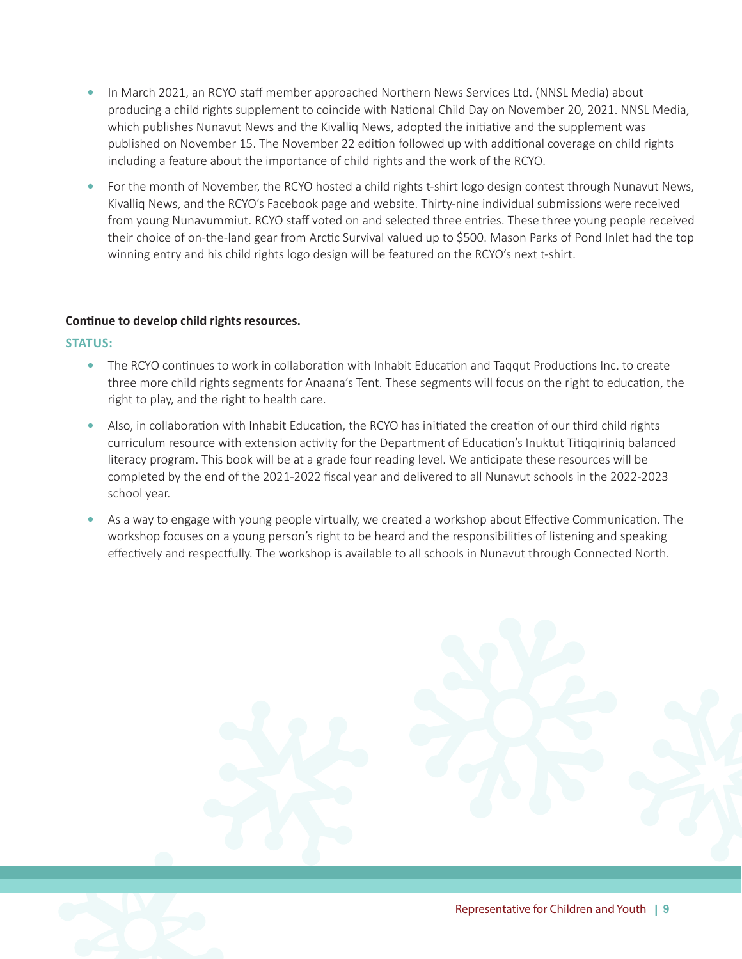- **•** In March 2021, an RCYO staff member approached Northern News Services Ltd. (NNSL Media) about producing a child rights supplement to coincide with National Child Day on November 20, 2021. NNSL Media, which publishes Nunavut News and the Kivalliq News, adopted the initiative and the supplement was published on November 15. The November 22 edition followed up with additional coverage on child rights including a feature about the importance of child rights and the work of the RCYO.
- **•** For the month of November, the RCYO hosted a child rights t-shirt logo design contest through Nunavut News, Kivalliq News, and the RCYO's Facebook page and website. Thirty-nine individual submissions were received from young Nunavummiut. RCYO staff voted on and selected three entries. These three young people received their choice of on-the-land gear from Arctic Survival valued up to \$500. Mason Parks of Pond Inlet had the top winning entry and his child rights logo design will be featured on the RCYO's next t-shirt.

#### **Continue to develop child rights resources.**

- **•** The RCYO continues to work in collaboration with Inhabit Education and Taqqut Productions Inc. to create three more child rights segments for Anaana's Tent. These segments will focus on the right to education, the right to play, and the right to health care.
- **•** Also, in collaboration with Inhabit Education, the RCYO has initiated the creation of our third child rights curriculum resource with extension activity for the Department of Education's Inuktut Titiqqiriniq balanced literacy program. This book will be at a grade four reading level. We anticipate these resources will be completed by the end of the 2021-2022 fiscal year and delivered to all Nunavut schools in the 2022-2023 school year.
- **•** As a way to engage with young people virtually, we created a workshop about Effective Communication. The workshop focuses on a young person's right to be heard and the responsibilities of listening and speaking effectively and respectfully. The workshop is available to all schools in Nunavut through Connected North.

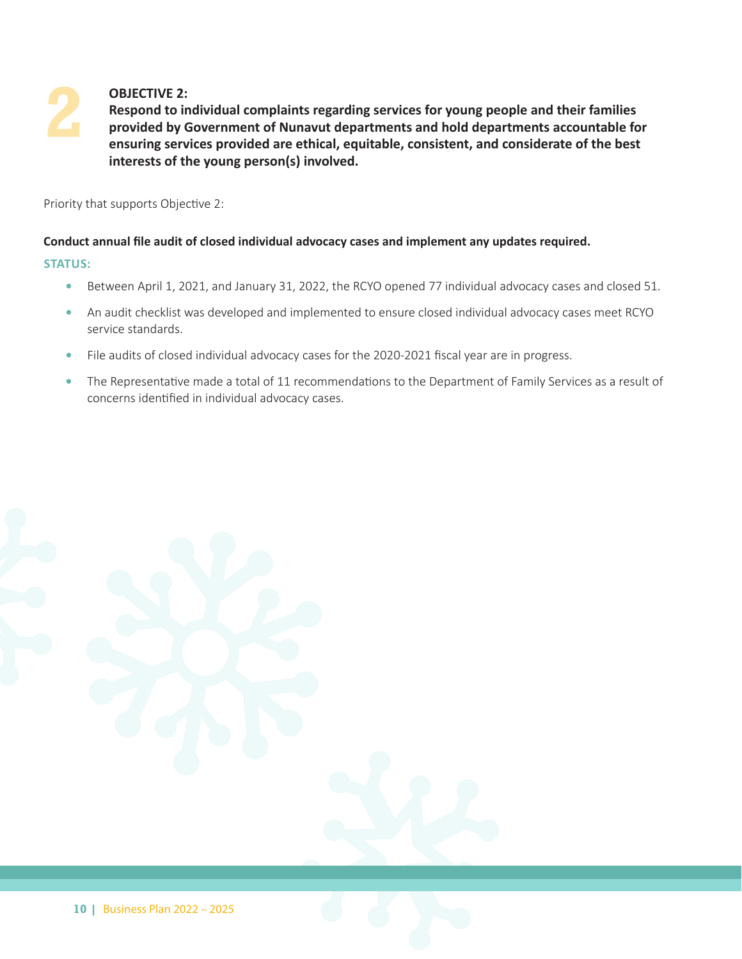## **2 OBJECTIVE 2:**

 **Respond to individual complaints regarding services for young people and their families provided by Government of Nunavut departments and hold departments accountable for ensuring services provided are ethical, equitable, consistent, and considerate of the best interests of the young person(s) involved.**

Priority that supports Objective 2:

#### **Conduct annual file audit of closed individual advocacy cases and implement any updates required.**

- **•** Between April 1, 2021, and January 31, 2022, the RCYO opened 77 individual advocacy cases and closed 51.
- **•** An audit checklist was developed and implemented to ensure closed individual advocacy cases meet RCYO service standards.
- File audits of closed individual advocacy cases for the 2020-2021 fiscal year are in progress.
- **•** The Representative made a total of 11 recommendations to the Department of Family Services as a result of concerns identified in individual advocacy cases.

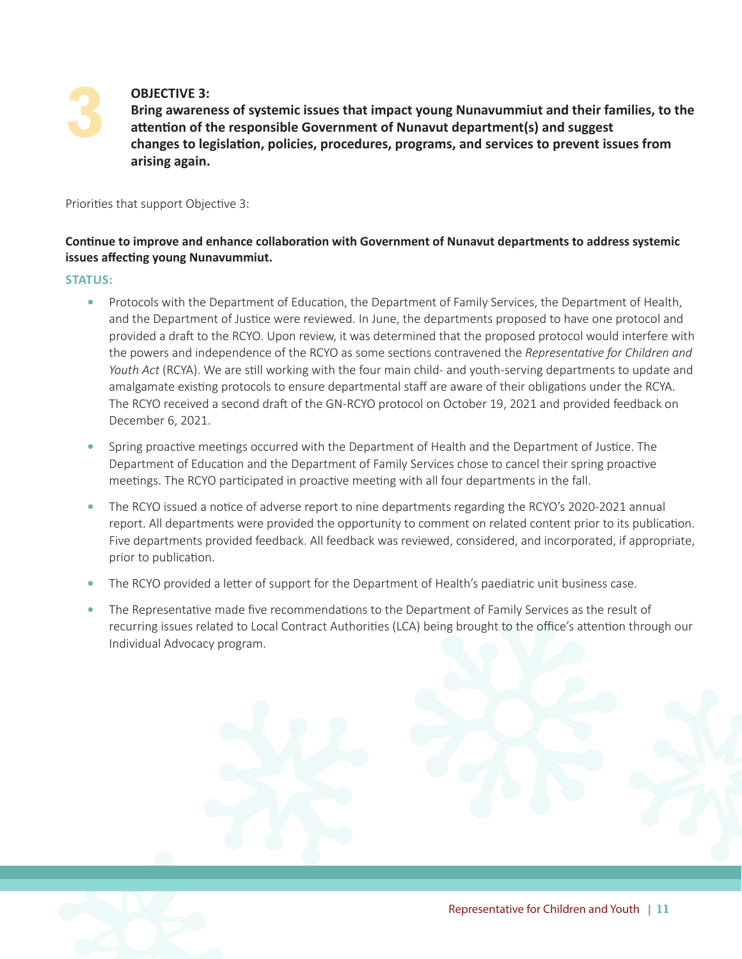# **3**

#### **OBJECTIVE 3:**

 **Bring awareness of systemic issues that impact young Nunavummiut and their families, to the attention of the responsible Government of Nunavut department(s) and suggest changes to legislation, policies, procedures, programs, and services to prevent issues from arising again.**

Priorities that support Objective 3:

#### **Continue to improve and enhance collaboration with Government of Nunavut departments to address systemic issues affecting young Nunavummiut.**

- **•** Protocols with the Department of Education, the Department of Family Services, the Department of Health, and the Department of Justice were reviewed. In June, the departments proposed to have one protocol and provided a draft to the RCYO. Upon review, it was determined that the proposed protocol would interfere with the powers and independence of the RCYO as some sections contravened the *Representative for Children and Youth Act* (RCYA). We are still working with the four main child- and youth-serving departments to update and amalgamate existing protocols to ensure departmental staff are aware of their obligations under the RCYA. The RCYO received a second draft of the GN-RCYO protocol on October 19, 2021 and provided feedback on December 6, 2021.
- **•** Spring proactive meetings occurred with the Department of Health and the Department of Justice. The Department of Education and the Department of Family Services chose to cancel their spring proactive meetings. The RCYO participated in proactive meeting with all four departments in the fall.
- **•** The RCYO issued a notice of adverse report to nine departments regarding the RCYO's 2020-2021 annual report. All departments were provided the opportunity to comment on related content prior to its publication. Five departments provided feedback. All feedback was reviewed, considered, and incorporated, if appropriate, prior to publication.
- **•** The RCYO provided a letter of support for the Department of Health's paediatric unit business case.
- **•** The Representative made five recommendations to the Department of Family Services as the result of recurring issues related to Local Contract Authorities (LCA) being brought to the office's attention through our Individual Advocacy program.

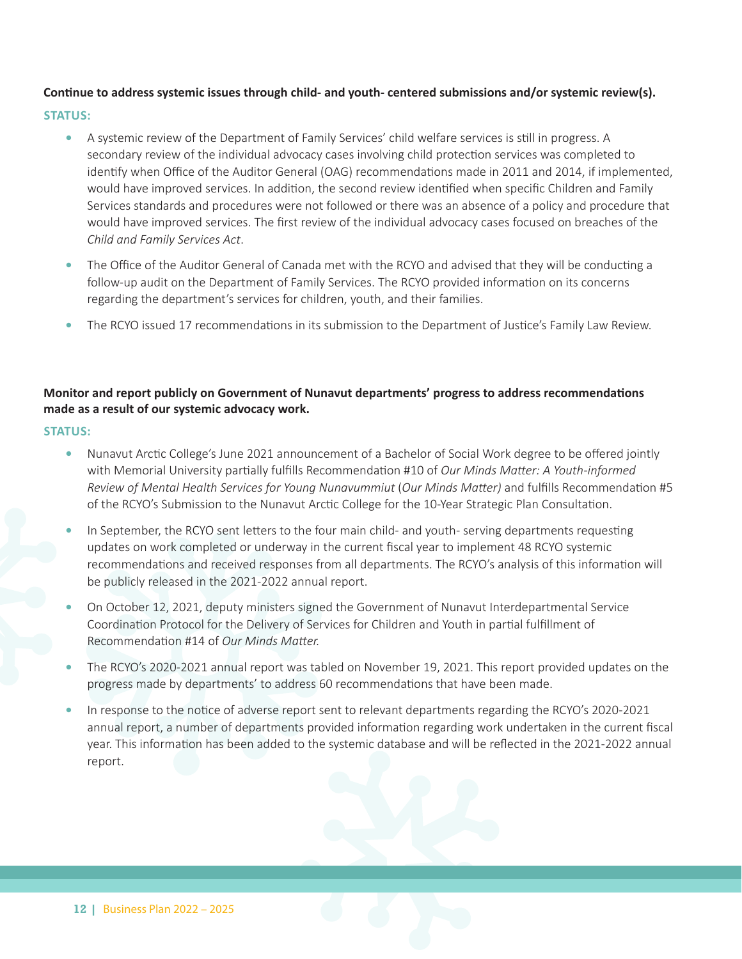#### **Continue to address systemic issues through child- and youth- centered submissions and/or systemic review(s).**

#### **STATUS:**

- **•** A systemic review of the Department of Family Services' child welfare services is still in progress. A secondary review of the individual advocacy cases involving child protection services was completed to identify when Office of the Auditor General (OAG) recommendations made in 2011 and 2014, if implemented, would have improved services. In addition, the second review identified when specific Children and Family Services standards and procedures were not followed or there was an absence of a policy and procedure that would have improved services. The first review of the individual advocacy cases focused on breaches of the *Child and Family Services Act*.
- **•** The Office of the Auditor General of Canada met with the RCYO and advised that they will be conducting a follow-up audit on the Department of Family Services. The RCYO provided information on its concerns regarding the department's services for children, youth, and their families.
- **•** The RCYO issued 17 recommendations in its submission to the Department of Justice's Family Law Review.

#### **Monitor and report publicly on Government of Nunavut departments' progress to address recommendations made as a result of our systemic advocacy work.**

- **•** Nunavut Arctic College's June 2021 announcement of a Bachelor of Social Work degree to be offered jointly with Memorial University partially fulfills Recommendation #10 of *Our Minds Matter: A Youth-informed Review of Mental Health Services for Young Nunavummiut* (*Our Minds Matter)* and fulfills Recommendation #5 of the RCYO's Submission to the Nunavut Arctic College for the 10-Year Strategic Plan Consultation.
- **•** In September, the RCYO sent letters to the four main child- and youth- serving departments requesting updates on work completed or underway in the current fiscal year to implement 48 RCYO systemic recommendations and received responses from all departments. The RCYO's analysis of this information will be publicly released in the 2021-2022 annual report.
- **•** On October 12, 2021, deputy ministers signed the Government of Nunavut Interdepartmental Service Coordination Protocol for the Delivery of Services for Children and Youth in partial fulfillment of Recommendation #14 of *Our Minds Matter.*
- **•** The RCYO's 2020-2021 annual report was tabled on November 19, 2021. This report provided updates on the progress made by departments' to address 60 recommendations that have been made.
- **•** In response to the notice of adverse report sent to relevant departments regarding the RCYO's 2020-2021 annual report, a number of departments provided information regarding work undertaken in the current fiscal year. This information has been added to the systemic database and will be reflected in the 2021-2022 annual report.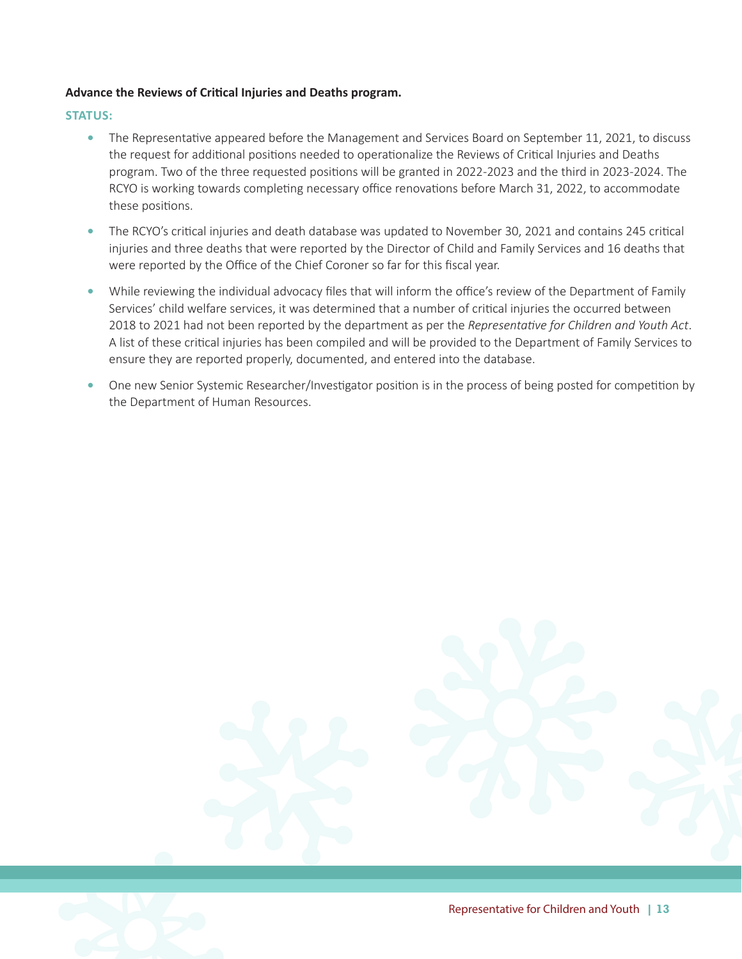#### **Advance the Reviews of Critical Injuries and Deaths program.**

- The Representative appeared before the Management and Services Board on September 11, 2021, to discuss the request for additional positions needed to operationalize the Reviews of Critical Injuries and Deaths program. Two of the three requested positions will be granted in 2022-2023 and the third in 2023-2024. The RCYO is working towards completing necessary office renovations before March 31, 2022, to accommodate these positions.
- **•** The RCYO's critical injuries and death database was updated to November 30, 2021 and contains 245 critical injuries and three deaths that were reported by the Director of Child and Family Services and 16 deaths that were reported by the Office of the Chief Coroner so far for this fiscal year.
- **•** While reviewing the individual advocacy files that will inform the office's review of the Department of Family Services' child welfare services, it was determined that a number of critical injuries the occurred between 2018 to 2021 had not been reported by the department as per the *Representative for Children and Youth Act*. A list of these critical injuries has been compiled and will be provided to the Department of Family Services to ensure they are reported properly, documented, and entered into the database.
- **•** One new Senior Systemic Researcher/Investigator position is in the process of being posted for competition by the Department of Human Resources.

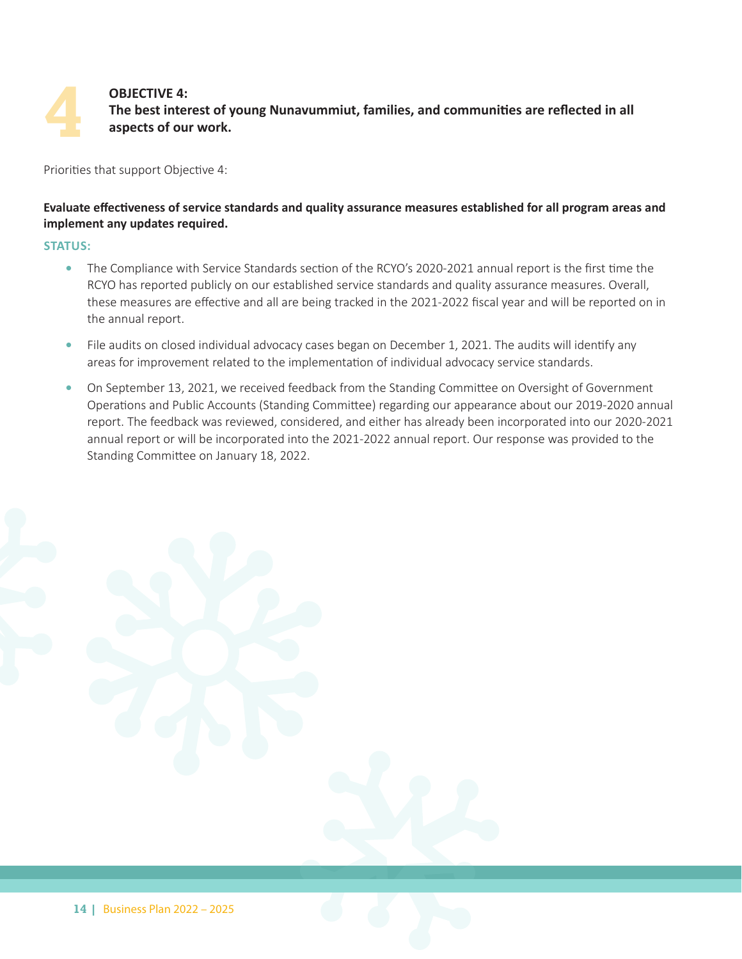#### **OBJECTIVE 4: The best interest of young Nunavummiut, families, and communities are reflected in all aspects of our work.**

Priorities that support Objective 4:

#### **Evaluate effectiveness of service standards and quality assurance measures established for all program areas and implement any updates required.**

#### **STATUS:**

**4**

- **•** The Compliance with Service Standards section of the RCYO's 2020-2021 annual report is the first time the RCYO has reported publicly on our established service standards and quality assurance measures. Overall, these measures are effective and all are being tracked in the 2021-2022 fiscal year and will be reported on in the annual report.
- **•** File audits on closed individual advocacy cases began on December 1, 2021. The audits will identify any areas for improvement related to the implementation of individual advocacy service standards.
- On September 13, 2021, we received feedback from the Standing Committee on Oversight of Government Operations and Public Accounts (Standing Committee) regarding our appearance about our 2019-2020 annual report. The feedback was reviewed, considered, and either has already been incorporated into our 2020-2021 annual report or will be incorporated into the 2021-2022 annual report. Our response was provided to the Standing Committee on January 18, 2022.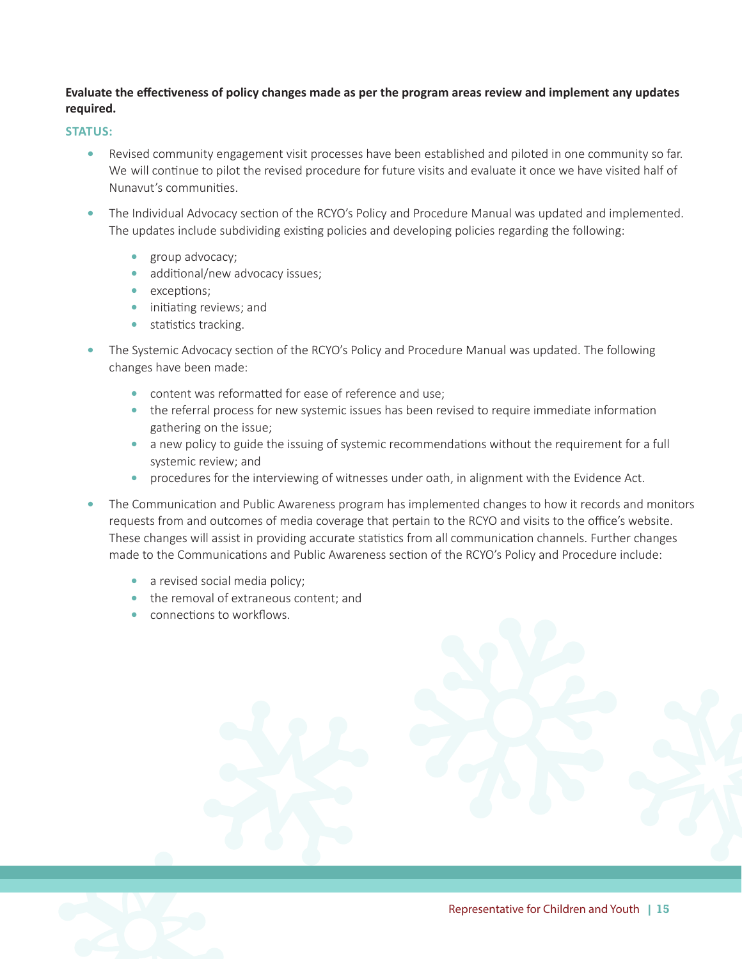#### **Evaluate the effectiveness of policy changes made as per the program areas review and implement any updates required.**

- **•** Revised community engagement visit processes have been established and piloted in one community so far. We will continue to pilot the revised procedure for future visits and evaluate it once we have visited half of Nunavut's communities.
- **•** The Individual Advocacy section of the RCYO's Policy and Procedure Manual was updated and implemented. The updates include subdividing existing policies and developing policies regarding the following:
	- **•** group advocacy;
	- additional/new advocacy issues;
	- **•** exceptions;
	- **•** initiating reviews; and
	- statistics tracking.
- **•** The Systemic Advocacy section of the RCYO's Policy and Procedure Manual was updated. The following changes have been made:
	- **•** content was reformatted for ease of reference and use;
	- the referral process for new systemic issues has been revised to require immediate information gathering on the issue;
	- a new policy to guide the issuing of systemic recommendations without the requirement for a full systemic review; and
	- procedures for the interviewing of witnesses under oath, in alignment with the Evidence Act.
- **•** The Communication and Public Awareness program has implemented changes to how it records and monitors requests from and outcomes of media coverage that pertain to the RCYO and visits to the office's website. These changes will assist in providing accurate statistics from all communication channels. Further changes made to the Communications and Public Awareness section of the RCYO's Policy and Procedure include:
	- a revised social media policy;
	- the removal of extraneous content: and
	- *connections to workflows.*

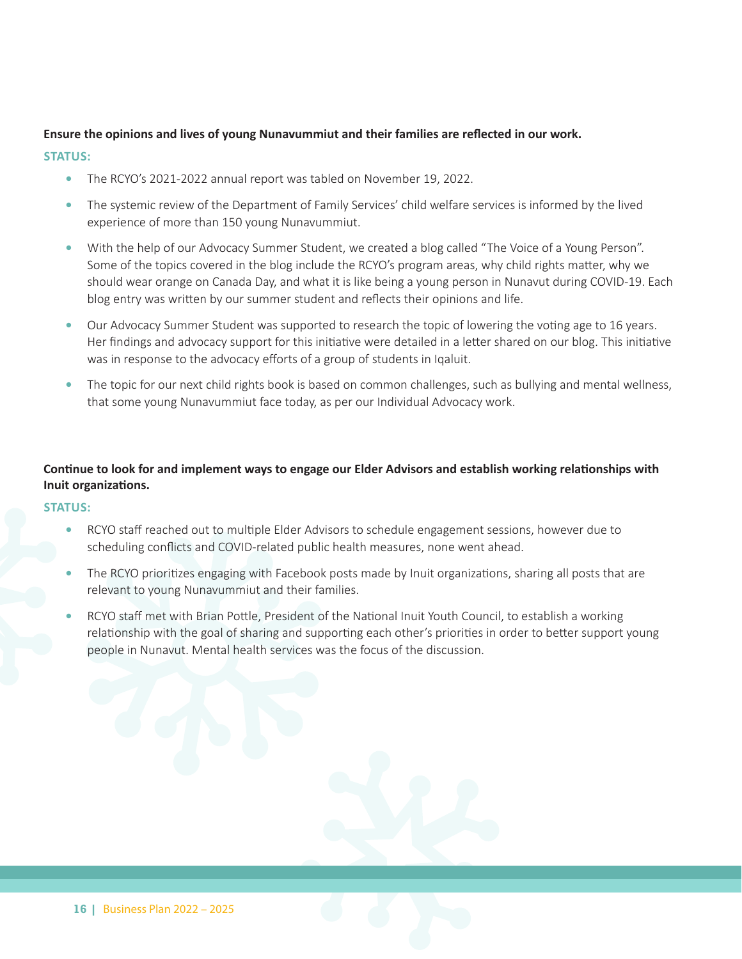#### **Ensure the opinions and lives of young Nunavummiut and their families are reflected in our work.**

#### **STATUS:**

- **•** The RCYO's 2021-2022 annual report was tabled on November 19, 2022.
- **•** The systemic review of the Department of Family Services' child welfare services is informed by the lived experience of more than 150 young Nunavummiut.
- With the help of our Advocacy Summer Student, we created a blog called "The Voice of a Young Person". Some of the topics covered in the blog include the RCYO's program areas, why child rights matter, why we should wear orange on Canada Day, and what it is like being a young person in Nunavut during COVID-19. Each blog entry was written by our summer student and reflects their opinions and life.
- **•** Our Advocacy Summer Student was supported to research the topic of lowering the voting age to 16 years. Her findings and advocacy support for this initiative were detailed in a letter shared on our blog. This initiative was in response to the advocacy efforts of a group of students in Iqaluit.
- **•** The topic for our next child rights book is based on common challenges, such as bullying and mental wellness, that some young Nunavummiut face today, as per our Individual Advocacy work.

#### **Continue to look for and implement ways to engage our Elder Advisors and establish working relationships with Inuit organizations.**

- **•** RCYO staff reached out to multiple Elder Advisors to schedule engagement sessions, however due to scheduling conflicts and COVID-related public health measures, none went ahead.
- **•** The RCYO prioritizes engaging with Facebook posts made by Inuit organizations, sharing all posts that are relevant to young Nunavummiut and their families.
- **•** RCYO staff met with Brian Pottle, President of the National Inuit Youth Council, to establish a working relationship with the goal of sharing and supporting each other's priorities in order to better support young people in Nunavut. Mental health services was the focus of the discussion.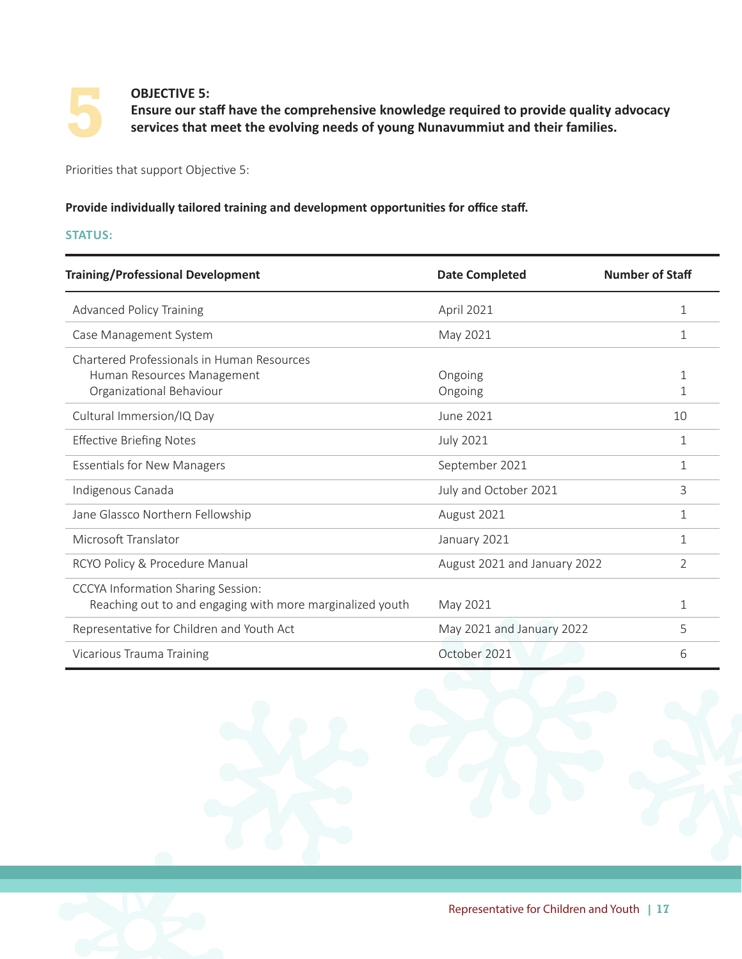

#### **OBJECTIVE 5:**

 **Ensure our staff have the comprehensive knowledge required to provide quality advocacy services that meet the evolving needs of young Nunavummiut and their families.**

Priorities that support Objective 5:

#### **Provide individually tailored training and development opportunities for office staff.**

| <b>Training/Professional Development</b>                  | <b>Date Completed</b>        | <b>Number of Staff</b> |
|-----------------------------------------------------------|------------------------------|------------------------|
| <b>Advanced Policy Training</b>                           | April 2021                   | 1                      |
| Case Management System                                    | May 2021                     | 1                      |
| Chartered Professionals in Human Resources                |                              |                        |
| Human Resources Management                                | Ongoing                      | 1                      |
| Organizational Behaviour                                  | Ongoing                      | 1                      |
| Cultural Immersion/IQ Day                                 | <b>June 2021</b>             | 10                     |
| <b>Effective Briefing Notes</b>                           | <b>July 2021</b>             | 1                      |
| <b>Essentials for New Managers</b>                        | September 2021               | 1                      |
| Indigenous Canada                                         | July and October 2021        | 3                      |
| Jane Glassco Northern Fellowship                          | August 2021                  | 1                      |
| Microsoft Translator                                      | January 2021                 | $\mathbf{1}$           |
| RCYO Policy & Procedure Manual                            | August 2021 and January 2022 | 2                      |
| <b>CCCYA Information Sharing Session:</b>                 |                              |                        |
| Reaching out to and engaging with more marginalized youth | May 2021                     | 1                      |
| Representative for Children and Youth Act                 | May 2021 and January 2022    | 5                      |
| Vicarious Trauma Training                                 | October 2021                 | 6                      |

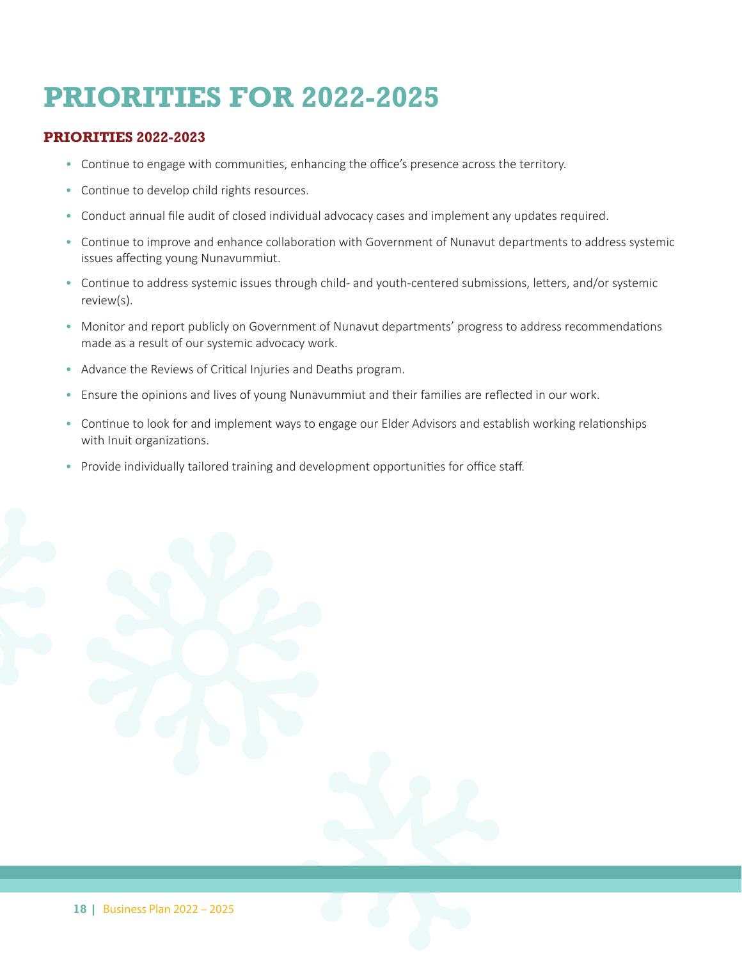## **PRIORITIES FOR 2022-2025**

#### **PRIORITIES 2022-2023**

- Continue to engage with communities, enhancing the office's presence across the territory.
- Continue to develop child rights resources.
- Conduct annual file audit of closed individual advocacy cases and implement any updates required.
- Continue to improve and enhance collaboration with Government of Nunavut departments to address systemic issues affecting young Nunavummiut.
- Continue to address systemic issues through child- and youth-centered submissions, letters, and/or systemic review(s).
- Monitor and report publicly on Government of Nunavut departments' progress to address recommendations made as a result of our systemic advocacy work.
- Advance the Reviews of Critical Injuries and Deaths program.
- Ensure the opinions and lives of young Nunavummiut and their families are reflected in our work.
- Continue to look for and implement ways to engage our Elder Advisors and establish working relationships with Inuit organizations.
- Provide individually tailored training and development opportunities for office staff.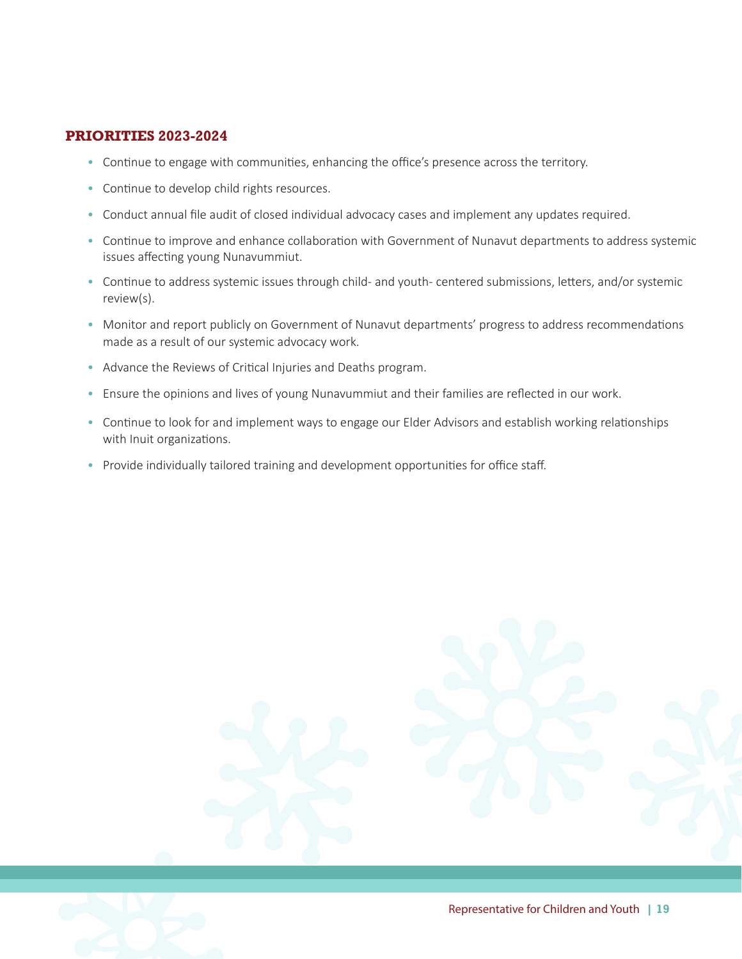#### **PRIORITIES 2023-2024**

- Continue to engage with communities, enhancing the office's presence across the territory.
- Continue to develop child rights resources.
- Conduct annual file audit of closed individual advocacy cases and implement any updates required.
- Continue to improve and enhance collaboration with Government of Nunavut departments to address systemic issues affecting young Nunavummiut.
- Continue to address systemic issues through child- and youth- centered submissions, letters, and/or systemic review(s).
- Monitor and report publicly on Government of Nunavut departments' progress to address recommendations made as a result of our systemic advocacy work.
- Advance the Reviews of Critical Injuries and Deaths program.
- Ensure the opinions and lives of young Nunavummiut and their families are reflected in our work.
- Continue to look for and implement ways to engage our Elder Advisors and establish working relationships with Inuit organizations.
- Provide individually tailored training and development opportunities for office staff.



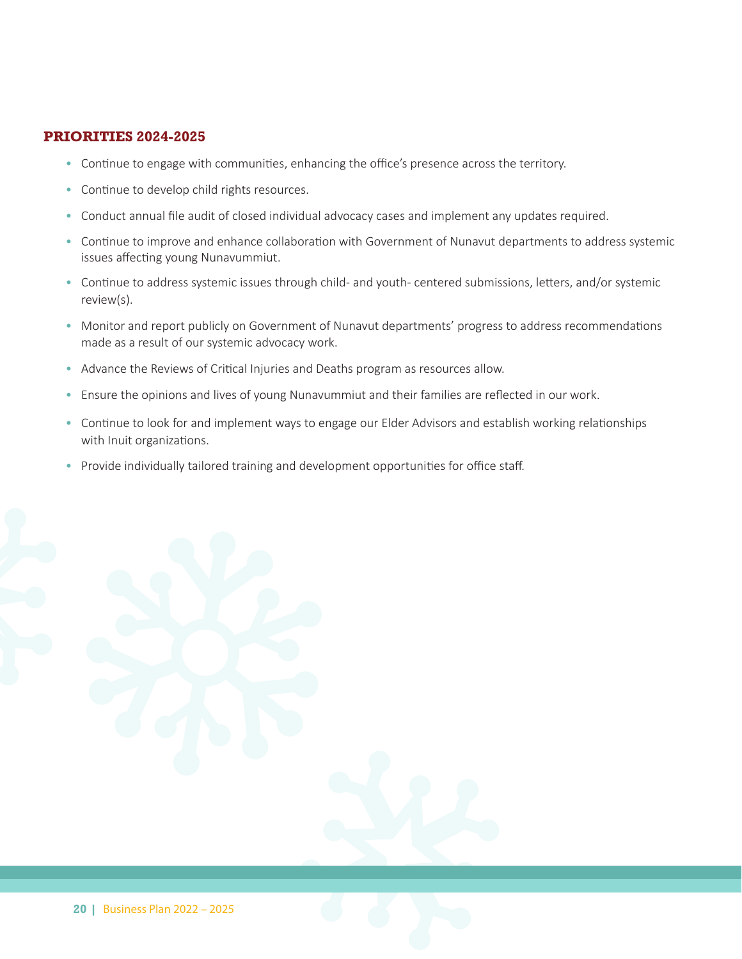#### **PRIORITIES 2024-2025**

- Continue to engage with communities, enhancing the office's presence across the territory.
- Continue to develop child rights resources.
- Conduct annual file audit of closed individual advocacy cases and implement any updates required.
- Continue to improve and enhance collaboration with Government of Nunavut departments to address systemic issues affecting young Nunavummiut.
- Continue to address systemic issues through child- and youth- centered submissions, letters, and/or systemic review(s).
- Monitor and report publicly on Government of Nunavut departments' progress to address recommendations made as a result of our systemic advocacy work.
- Advance the Reviews of Critical Injuries and Deaths program as resources allow.
- Ensure the opinions and lives of young Nunavummiut and their families are reflected in our work.
- Continue to look for and implement ways to engage our Elder Advisors and establish working relationships with Inuit organizations.
- Provide individually tailored training and development opportunities for office staff.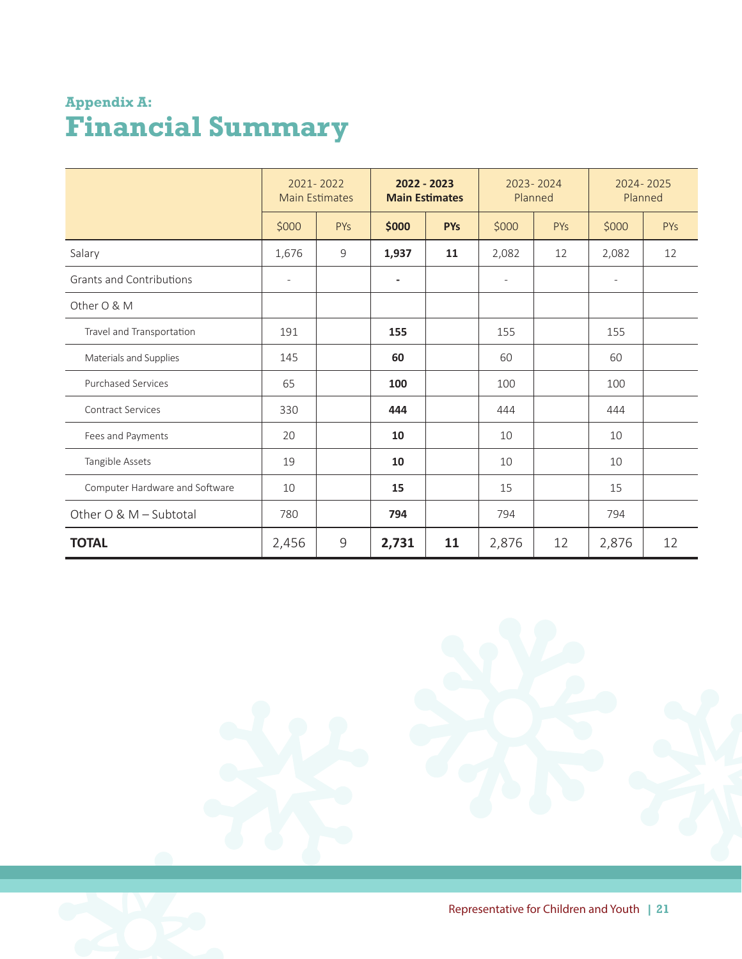### **Appendix A: Financial Summary**

|                                 | 2021-2022<br><b>Main Estimates</b> |             | 2022 - 2023<br><b>Main Estimates</b> |            | 2023-2024<br>Planned     |            | 2024-2025<br>Planned     |     |
|---------------------------------|------------------------------------|-------------|--------------------------------------|------------|--------------------------|------------|--------------------------|-----|
|                                 | \$000                              | PYs         | \$000                                | <b>PYs</b> | \$000                    | <b>PYs</b> | \$000                    | PYs |
| Salary                          | 1,676                              | 9           | 1,937                                | 11         | 2,082                    | 12         | 2,082                    | 12  |
| <b>Grants and Contributions</b> | $\overline{\phantom{a}}$           |             | $\blacksquare$                       |            | $\overline{\phantom{0}}$ |            | $\overline{\phantom{a}}$ |     |
| Other O & M                     |                                    |             |                                      |            |                          |            |                          |     |
| Travel and Transportation       | 191                                |             | 155                                  |            | 155                      |            | 155                      |     |
| Materials and Supplies          | 145                                |             | 60                                   |            | 60                       |            | 60                       |     |
| <b>Purchased Services</b>       | 65                                 |             | 100                                  |            | 100                      |            | 100                      |     |
| <b>Contract Services</b>        | 330                                |             | 444                                  |            | 444                      |            | 444                      |     |
| Fees and Payments               | 20                                 |             | 10                                   |            | 10                       |            | 10                       |     |
| Tangible Assets                 | 19                                 |             | 10                                   |            | 10                       |            | 10                       |     |
| Computer Hardware and Software  | 10                                 |             | 15                                   |            | 15                       |            | 15                       |     |
| Other O & M - Subtotal          | 780                                |             | 794                                  |            | 794                      |            | 794                      |     |
| <b>TOTAL</b>                    | 2,456                              | $\mathsf 9$ | 2,731                                | 11         | 2,876                    | 12         | 2,876                    | 12  |

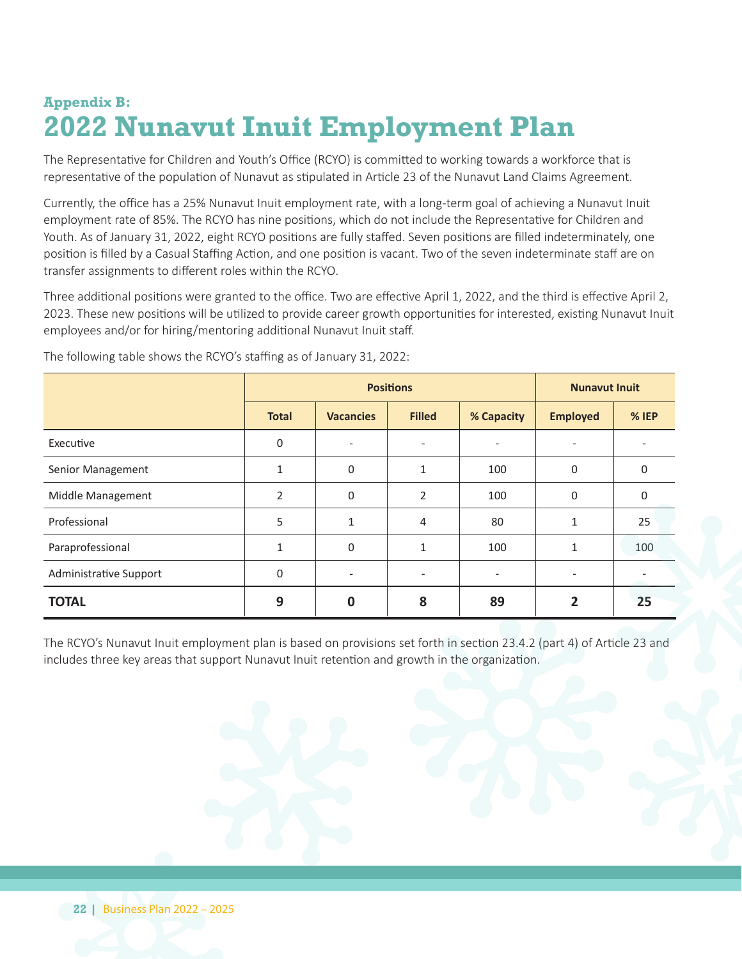### **Appendix B: 2022 Nunavut Inuit Employment Plan**

The Representative for Children and Youth's Office (RCYO) is committed to working towards a workforce that is representative of the population of Nunavut as stipulated in Article 23 of the Nunavut Land Claims Agreement.

Currently, the office has a 25% Nunavut Inuit employment rate, with a long-term goal of achieving a Nunavut Inuit employment rate of 85%. The RCYO has nine positions, which do not include the Representative for Children and Youth. As of January 31, 2022, eight RCYO positions are fully staffed. Seven positions are filled indeterminately, one position is filled by a Casual Staffing Action, and one position is vacant. Two of the seven indeterminate staff are on transfer assignments to different roles within the RCYO.

Three additional positions were granted to the office. Two are effective April 1, 2022, and the third is effective April 2, 2023. These new positions will be utilized to provide career growth opportunities for interested, existing Nunavut Inuit employees and/or for hiring/mentoring additional Nunavut Inuit staff.

|                        |                | <b>Positions</b>         | <b>Nunavut Inuit</b> |            |                 |          |
|------------------------|----------------|--------------------------|----------------------|------------|-----------------|----------|
|                        | <b>Total</b>   | <b>Vacancies</b>         | <b>Filled</b>        | % Capacity | <b>Employed</b> | % IEP    |
| Executive              | 0              | $\overline{\phantom{a}}$ | ۰.                   |            | ۰               |          |
| Senior Management      | 1              | 0                        | 1                    | 100        | $\mathbf 0$     | 0        |
| Middle Management      | $\overline{2}$ | 0                        | 2                    | 100        | $\mathbf 0$     | $\Omega$ |
| Professional           | 5              | 1                        | $\overline{4}$       | 80         | $\mathbf{1}$    | 25       |
| Paraprofessional       | $\mathbf{1}$   | 0                        | 1                    | 100        | $\mathbf{1}$    | 100      |
| Administrative Support | $\Omega$       | $\overline{\phantom{a}}$ |                      |            |                 |          |
| <b>TOTAL</b>           | 9              | 0                        | 8                    | 89         | 2               | 25       |

The following table shows the RCYO's staffing as of January 31, 2022:

The RCYO's Nunavut Inuit employment plan is based on provisions set forth in section 23.4.2 (part 4) of Article 23 and includes three key areas that support Nunavut Inuit retention and growth in the organization.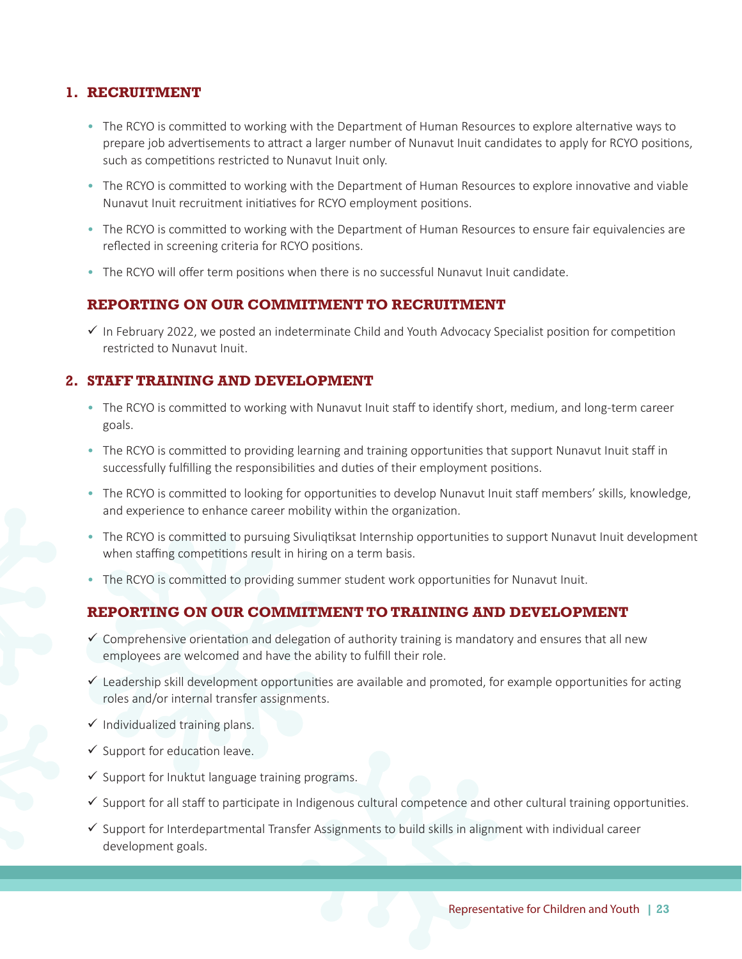#### **1. RECRUITMENT**

- The RCYO is committed to working with the Department of Human Resources to explore alternative ways to prepare job advertisements to attract a larger number of Nunavut Inuit candidates to apply for RCYO positions, such as competitions restricted to Nunavut Inuit only.
- The RCYO is committed to working with the Department of Human Resources to explore innovative and viable Nunavut Inuit recruitment initiatives for RCYO employment positions.
- The RCYO is committed to working with the Department of Human Resources to ensure fair equivalencies are reflected in screening criteria for RCYO positions.
- The RCYO will offer term positions when there is no successful Nunavut Inuit candidate.

#### **REPORTING ON OUR COMMITMENT TO RECRUITMENT**

 $\checkmark$  In February 2022, we posted an indeterminate Child and Youth Advocacy Specialist position for competition restricted to Nunavut Inuit.

#### **2. STAFF TRAINING AND DEVELOPMENT**

- The RCYO is committed to working with Nunavut Inuit staff to identify short, medium, and long-term career goals.
- The RCYO is committed to providing learning and training opportunities that support Nunavut Inuit staff in successfully fulfilling the responsibilities and duties of their employment positions.
- The RCYO is committed to looking for opportunities to develop Nunavut Inuit staff members' skills, knowledge, and experience to enhance career mobility within the organization.
- The RCYO is committed to pursuing Sivuliqtiksat Internship opportunities to support Nunavut Inuit development when staffing competitions result in hiring on a term basis.
- The RCYO is committed to providing summer student work opportunities for Nunavut Inuit.

#### **REPORTING ON OUR COMMITMENT TO TRAINING AND DEVELOPMENT**

- $\checkmark$  Comprehensive orientation and delegation of authority training is mandatory and ensures that all new employees are welcomed and have the ability to fulfill their role.
- $\checkmark$  Leadership skill development opportunities are available and promoted, for example opportunities for acting roles and/or internal transfer assignments.
- $\checkmark$  Individualized training plans.
- $\checkmark$  Support for education leave.
- $\checkmark$  Support for Inuktut language training programs.
- $\checkmark$  Support for all staff to participate in Indigenous cultural competence and other cultural training opportunities.
- $\checkmark$  Support for Interdepartmental Transfer Assignments to build skills in alignment with individual career development goals.